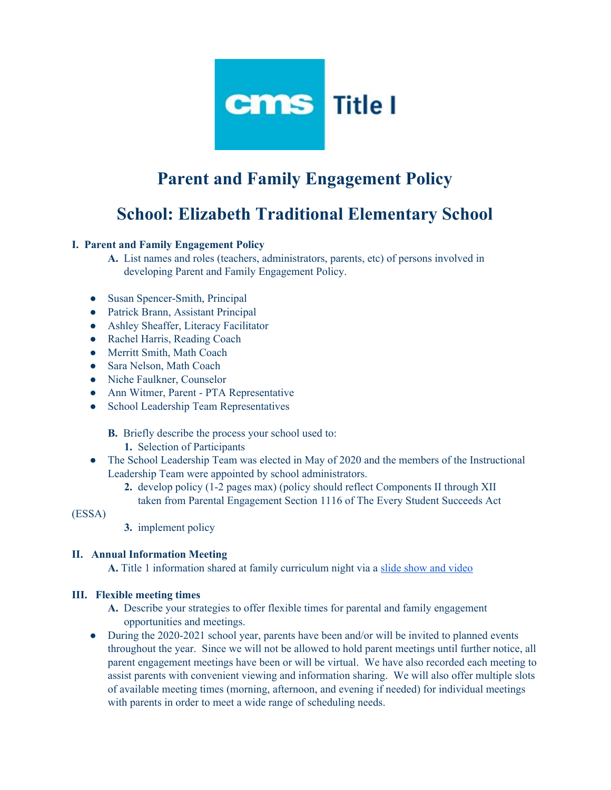

# **Parent and Family Engagement Policy**

## **School: Elizabeth Traditional Elementary School**

#### **I. Parent and Family Engagement Policy**

- **A.** List names and roles (teachers, administrators, parents, etc) of persons involved in developing Parent and Family Engagement Policy.
- Susan Spencer-Smith, Principal
- Patrick Brann, Assistant Principal
- Ashley Sheaffer, Literacy Facilitator
- Rachel Harris, Reading Coach
- Merritt Smith, Math Coach
- Sara Nelson, Math Coach
- Niche Faulkner, Counselor
- Ann Witmer, Parent PTA Representative
- School Leadership Team Representatives

**B.** Briefly describe the process your school used to:

- **1.** Selection of Participants
- The School Leadership Team was elected in May of 2020 and the members of the Instructional Leadership Team were appointed by school administrators.
	- **2.** develop policy (1-2 pages max) (policy should reflect Components II through XII taken from Parental Engagement Section 1116 of The Every Student Succeeds Act

(ESSA)

**3.** implement policy

#### **II. Annual Information Meeting**

**A.** Title 1 information shared at family curriculum night via a slide show and [video](https://docs.google.com/presentation/d/1KRMxmJ4cJzNpk1SBqvD_P9P7kS-GdUepPFwK__RYrRY/edit?usp=sharing)

#### **III. Flexible meeting times**

- **A.** Describe your strategies to offer flexible times for parental and family engagement opportunities and meetings.
- During the 2020-2021 school year, parents have been and/or will be invited to planned events throughout the year. Since we will not be allowed to hold parent meetings until further notice, all parent engagement meetings have been or will be virtual. We have also recorded each meeting to assist parents with convenient viewing and information sharing. We will also offer multiple slots of available meeting times (morning, afternoon, and evening if needed) for individual meetings with parents in order to meet a wide range of scheduling needs.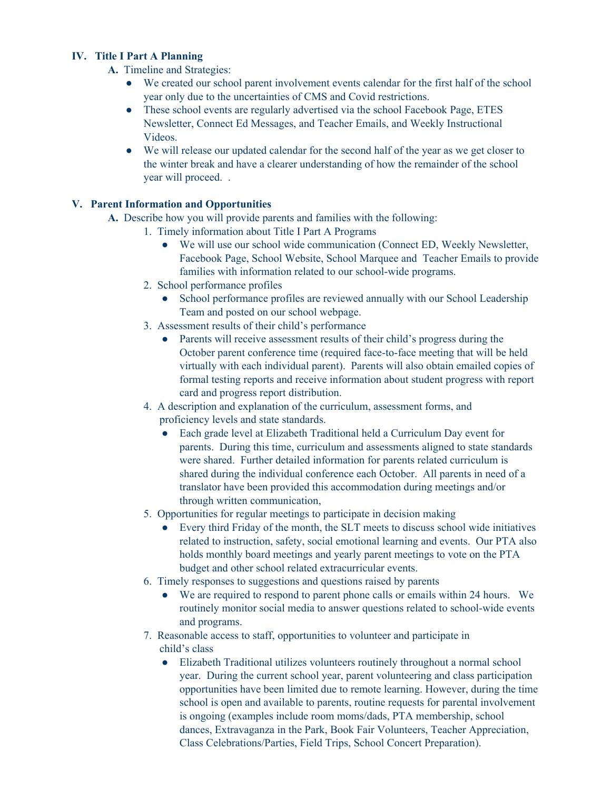#### **IV. Title I Part A Planning**

- **A.** Timeline and Strategies:
	- We created our school parent involvement events calendar for the first half of the school year only due to the uncertainties of CMS and Covid restrictions.
	- These school events are regularly advertised via the school Facebook Page, ETES Newsletter, Connect Ed Messages, and Teacher Emails, and Weekly Instructional Videos.
	- We will release our updated calendar for the second half of the year as we get closer to the winter break and have a clearer understanding of how the remainder of the school year will proceed. .

#### **V. Parent Information and Opportunities**

- **A.** Describe how you will provide parents and families with the following:
	- 1. Timely information about Title I Part A Programs
		- We will use our school wide communication (Connect ED, Weekly Newsletter, Facebook Page, School Website, School Marquee and Teacher Emails to provide families with information related to our school-wide programs.
	- 2. School performance profiles
		- School performance profiles are reviewed annually with our School Leadership Team and posted on our school webpage.
	- 3. Assessment results of their child's performance
		- Parents will receive assessment results of their child's progress during the October parent conference time (required face-to-face meeting that will be held virtually with each individual parent). Parents will also obtain emailed copies of formal testing reports and receive information about student progress with report card and progress report distribution.
	- 4. A description and explanation of the curriculum, assessment forms, and proficiency levels and state standards.
		- Each grade level at Elizabeth Traditional held a Curriculum Day event for parents. During this time, curriculum and assessments aligned to state standards were shared. Further detailed information for parents related curriculum is shared during the individual conference each October. All parents in need of a translator have been provided this accommodation during meetings and/or through written communication,
	- 5. Opportunities for regular meetings to participate in decision making
		- Every third Friday of the month, the SLT meets to discuss school wide initiatives related to instruction, safety, social emotional learning and events. Our PTA also holds monthly board meetings and yearly parent meetings to vote on the PTA budget and other school related extracurricular events.
	- 6. Timely responses to suggestions and questions raised by parents
		- We are required to respond to parent phone calls or emails within 24 hours. We routinely monitor social media to answer questions related to school-wide events and programs.
	- 7. Reasonable access to staff, opportunities to volunteer and participate in child's class
		- Elizabeth Traditional utilizes volunteers routinely throughout a normal school year. During the current school year, parent volunteering and class participation opportunities have been limited due to remote learning. However, during the time school is open and available to parents, routine requests for parental involvement is ongoing (examples include room moms/dads, PTA membership, school dances, Extravaganza in the Park, Book Fair Volunteers, Teacher Appreciation, Class Celebrations/Parties, Field Trips, School Concert Preparation).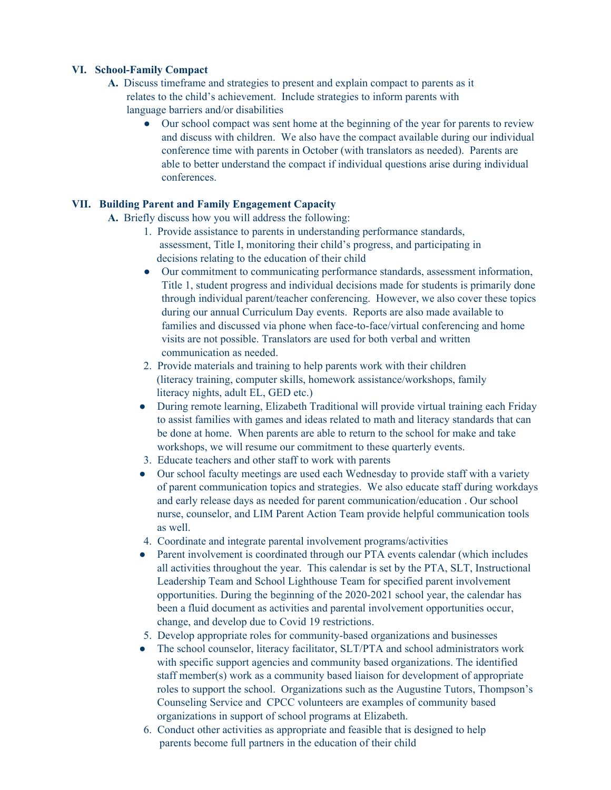#### **VI. School-Family Compact**

- **A.** Discuss timeframe and strategies to present and explain compact to parents as it relates to the child's achievement. Include strategies to inform parents with language barriers and/or disabilities
	- Our school compact was sent home at the beginning of the year for parents to review and discuss with children. We also have the compact available during our individual conference time with parents in October (with translators as needed). Parents are able to better understand the compact if individual questions arise during individual conferences.

#### **VII. Building Parent and Family Engagement Capacity**

**A.** Briefly discuss how you will address the following:

- 1. Provide assistance to parents in understanding performance standards, assessment, Title I, monitoring their child's progress, and participating in decisions relating to the education of their child
- Our commitment to communicating performance standards, assessment information, Title 1, student progress and individual decisions made for students is primarily done through individual parent/teacher conferencing. However, we also cover these topics during our annual Curriculum Day events. Reports are also made available to families and discussed via phone when face-to-face/virtual conferencing and home visits are not possible. Translators are used for both verbal and written communication as needed.
- 2. Provide materials and training to help parents work with their children (literacy training, computer skills, homework assistance/workshops, family literacy nights, adult EL, GED etc.)
- During remote learning, Elizabeth Traditional will provide virtual training each Friday to assist families with games and ideas related to math and literacy standards that can be done at home. When parents are able to return to the school for make and take workshops, we will resume our commitment to these quarterly events.
- 3. Educate teachers and other staff to work with parents
- Our school faculty meetings are used each Wednesday to provide staff with a variety of parent communication topics and strategies. We also educate staff during workdays and early release days as needed for parent communication/education . Our school nurse, counselor, and LIM Parent Action Team provide helpful communication tools as well.
- 4. Coordinate and integrate parental involvement programs/activities
- Parent involvement is coordinated through our PTA events calendar (which includes all activities throughout the year. This calendar is set by the PTA, SLT, Instructional Leadership Team and School Lighthouse Team for specified parent involvement opportunities. During the beginning of the 2020-2021 school year, the calendar has been a fluid document as activities and parental involvement opportunities occur, change, and develop due to Covid 19 restrictions.
- 5. Develop appropriate roles for community-based organizations and businesses
- The school counselor, literacy facilitator, SLT/PTA and school administrators work with specific support agencies and community based organizations. The identified staff member(s) work as a community based liaison for development of appropriate roles to support the school. Organizations such as the Augustine Tutors, Thompson's Counseling Service and CPCC volunteers are examples of community based organizations in support of school programs at Elizabeth.
- 6. Conduct other activities as appropriate and feasible that is designed to help parents become full partners in the education of their child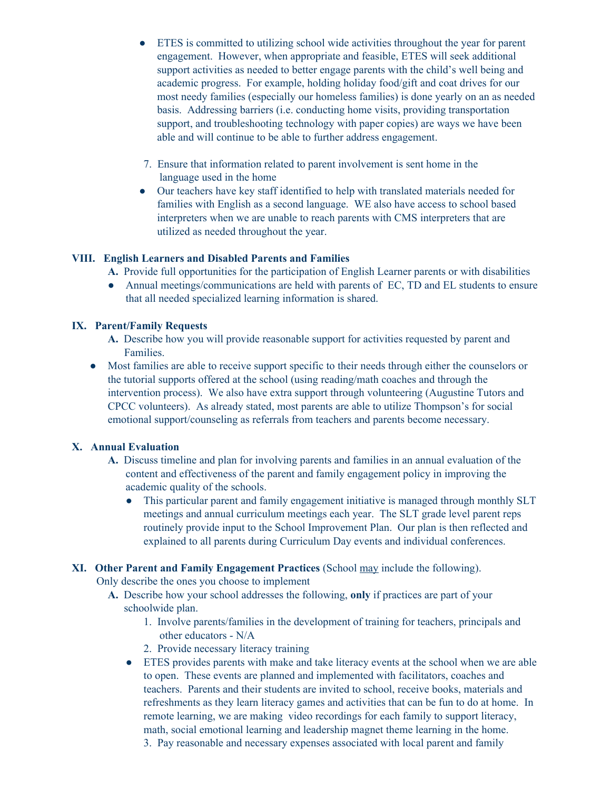- ETES is committed to utilizing school wide activities throughout the year for parent engagement. However, when appropriate and feasible, ETES will seek additional support activities as needed to better engage parents with the child's well being and academic progress. For example, holding holiday food/gift and coat drives for our most needy families (especially our homeless families) is done yearly on an as needed basis. Addressing barriers (i.e. conducting home visits, providing transportation support, and troubleshooting technology with paper copies) are ways we have been able and will continue to be able to further address engagement.
- 7. Ensure that information related to parent involvement is sent home in the language used in the home
- Our teachers have key staff identified to help with translated materials needed for families with English as a second language. WE also have access to school based interpreters when we are unable to reach parents with CMS interpreters that are utilized as needed throughout the year.

#### **VIII. English Learners and Disabled Parents and Families**

- **A.** Provide full opportunities for the participation of English Learner parents or with disabilities
- Annual meetings/communications are held with parents of EC, TD and EL students to ensure that all needed specialized learning information is shared.

#### **IX. Parent/Family Requests**

- **A.** Describe how you will provide reasonable support for activities requested by parent and Families.
- Most families are able to receive support specific to their needs through either the counselors or the tutorial supports offered at the school (using reading/math coaches and through the intervention process). We also have extra support through volunteering (Augustine Tutors and CPCC volunteers). As already stated, most parents are able to utilize Thompson's for social emotional support/counseling as referrals from teachers and parents become necessary.

### **X. Annual Evaluation**

- **A.** Discuss timeline and plan for involving parents and families in an annual evaluation of the content and effectiveness of the parent and family engagement policy in improving the academic quality of the schools.
	- This particular parent and family engagement initiative is managed through monthly SLT meetings and annual curriculum meetings each year. The SLT grade level parent reps routinely provide input to the School Improvement Plan. Our plan is then reflected and explained to all parents during Curriculum Day events and individual conferences.
- **XI. Other Parent and Family Engagement Practices** (School may include the following).

Only describe the ones you choose to implement

- **A.** Describe how your school addresses the following, **only** if practices are part of your schoolwide plan.
	- 1. Involve parents/families in the development of training for teachers, principals and other educators - N/A
	- 2. Provide necessary literacy training
	- ETES provides parents with make and take literacy events at the school when we are able to open. These events are planned and implemented with facilitators, coaches and teachers. Parents and their students are invited to school, receive books, materials and refreshments as they learn literacy games and activities that can be fun to do at home. In remote learning, we are making video recordings for each family to support literacy, math, social emotional learning and leadership magnet theme learning in the home.
		- 3. Pay reasonable and necessary expenses associated with local parent and family